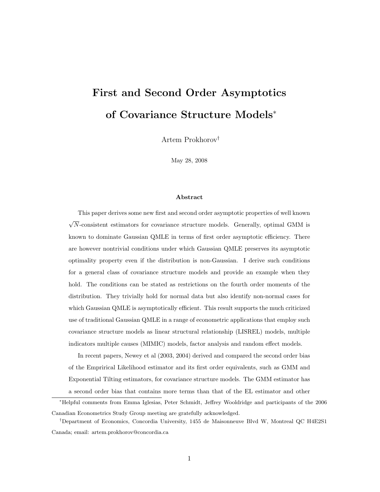# First and Second Order Asymptotics of Covariance Structure Models<sup>∗</sup>

Artem Prokhorov†

May 28, 2008

#### Abstract

This paper derives some new first and second order asymptotic properties of well known √ N-consistent estimators for covariance structure models. Generally, optimal GMM is known to dominate Gaussian QMLE in terms of first order asymptotic efficiency. There are however nontrivial conditions under which Gaussian QMLE preserves its asymptotic optimality property even if the distribution is non-Gaussian. I derive such conditions for a general class of covariance structure models and provide an example when they hold. The conditions can be stated as restrictions on the fourth order moments of the distribution. They trivially hold for normal data but also identify non-normal cases for which Gaussian QMLE is asymptotically efficient. This result supports the much criticized use of traditional Gaussian QMLE in a range of econometric applications that employ such covariance structure models as linear structural relationship (LISREL) models, multiple indicators multiple causes (MIMIC) models, factor analysis and random effect models.

In recent papers, Newey et al (2003, 2004) derived and compared the second order bias of the Emprirical Likelihood estimator and its first order equivalents, such as GMM and Exponential Tilting estimators, for covariance structure models. The GMM estimator has a second order bias that contains more terms than that of the EL estimator and other

<sup>∗</sup>Helpful comments from Emma Iglesias, Peter Schmidt, Jeffrey Wooldridge and participants of the 2006 Canadian Econometrics Study Group meeting are gratefully acknowledged.

<sup>†</sup>Department of Economics, Concordia University, 1455 de Maisonneuve Blvd W, Montreal QC H4E2S1 Canada; email: artem.prokhorov@concordia.ca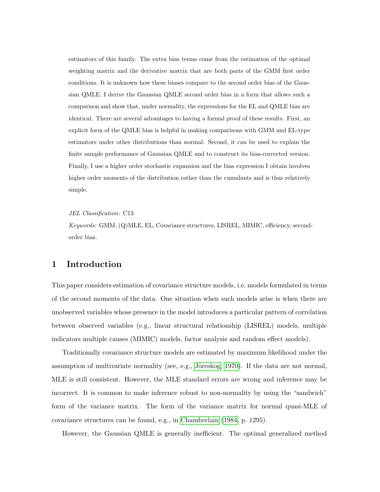estimators of this family. The extra bias terms come from the estimation of the optimal weighting matrix and the derivative matrix that are both parts of the GMM first order conditions. It is unknown how these biases compare to the second order bias of the Gaussian QMLE. I derive the Gaussian QMLE second order bias in a form that allows such a comparison and show that, under normality, the expressions for the EL and QMLE bias are identical. There are several advantages to having a formal proof of these results. First, an explicit form of the QMLE bias is helpful in making comparisons with GMM and EL-type estimators under other distributions than normal. Second, it can be used to explain the finite sample performance of Gaussian QMLE and to construct its bias-corrected version. Finally, I use a higher order stochastic expansion and the bias expression I obtain involves higher order moments of the distribution rather than the cumulants and is thus relatively simple.

#### JEL Classification: C13

Keywords: GMM, (Q)MLE, EL, Covariance structures, LISREL, MIMIC, efficiency, secondorder bias.

## 1 Introduction

This paper considers estimation of covariance structure models, i.e. models formulated in terms of the second moments of the data. One situation when such models arise is when there are unobserved variables whose presence in the model introduces a particular pattern of correlation between observed variables (e.g., linear structural relationship (LISREL) models, multiple indicators multiple causes (MIMIC) models, factor analysis and random effect models).

Traditionally covariance structure models are estimated by maximum likelihood under the assumption of multivariate normality (see, e.g., Jöreskog, 1970). If the data are not normal, MLE is still consistent. However, the MLE standard errors are wrong and inference may be incorrect. It is common to make inference robust to non-normality by using the "sandwich" form of the variance matrix. The form of the variance matrix for normal quasi-MLE of covariance structures can be found, e.g., in [Chamberlain](#page-15-1) [\(1984,](#page-15-1) p. 1295).

However, the Gaussian QMLE is generally inefficient. The optimal generalized method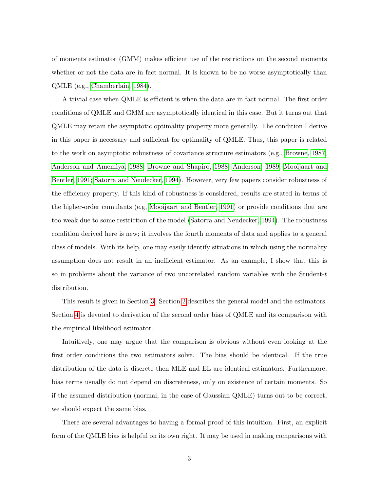of moments estimator (GMM) makes efficient use of the restrictions on the second moments whether or not the data are in fact normal. It is known to be no worse asymptotically than QMLE (e,g., [Chamberlain, 1984\)](#page-15-1).

A trivial case when QMLE is efficient is when the data are in fact normal. The first order conditions of QMLE and GMM are asymptotically identical in this case. But it turns out that QMLE may retain the asymptotic optimality property more generally. The condition I derive in this paper is necessary and sufficient for optimality of QMLE. Thus, this paper is related to the work on asymptotic robustness of covariance structure estimators (e.g., [Browne, 1987;](#page-15-2) [Anderson and Amemiya, 1988;](#page-15-3) [Browne and Shapiro, 1988;](#page-15-4) [Anderson, 1989;](#page-15-5) [Mooijaart and](#page-15-6) [Bentler, 1991;](#page-15-6) [Satorra and Neudecker, 1994\)](#page-16-0). However, very few papers consider robustness of the efficiency property. If this kind of robustness is considered, results are stated in terms of the higher-order cumulants (e.g, [Mooijaart and Bentler, 1991\)](#page-15-6) or provide conditions that are too weak due to some restriction of the model [\(Satorra and Neudecker, 1994\)](#page-16-0). The robustness condition derived here is new; it involves the fourth moments of data and applies to a general class of models. With its help, one may easily identify situations in which using the normality assumption does not result in an inefficient estimator. As an example, I show that this is so in problems about the variance of two uncorrelated random variables with the Student- $t$ distribution.

This result is given in Section [3.](#page-5-0) Section [2](#page-3-0) describes the general model and the estimators. Section [4](#page-8-0) is devoted to derivation of the second order bias of QMLE and its comparison with the empirical likelihood estimator.

Intuitively, one may argue that the comparison is obvious without even looking at the first order conditions the two estimators solve. The bias should be identical. If the true distribution of the data is discrete then MLE and EL are identical estimators. Furthermore, bias terms usually do not depend on discreteness, only on existence of certain moments. So if the assumed distribution (normal, in the case of Gaussian QMLE) turns out to be correct, we should expect the same bias.

There are several advantages to having a formal proof of this intuition. First, an explicit form of the QMLE bias is helpful on its own right. It may be used in making comparisons with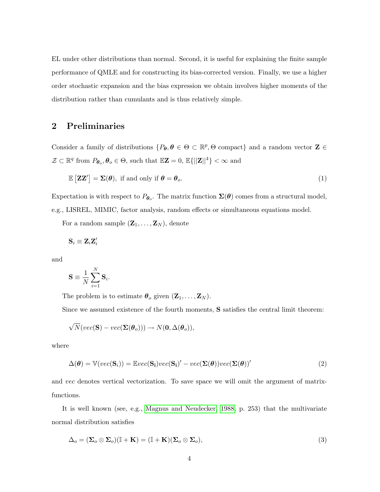EL under other distributions than normal. Second, it is useful for explaining the finite sample performance of QMLE and for constructing its bias-corrected version. Finally, we use a higher order stochastic expansion and the bias expression we obtain involves higher moments of the distribution rather than cumulants and is thus relatively simple.

# <span id="page-3-0"></span>2 Preliminaries

Consider a family of distributions  $\{P_{\theta}, \theta \in \Theta \subset \mathbb{R}^p, \Theta \text{ compact}\}\$  and a random vector  $\mathbf{Z} \in \Theta$  $\mathcal{Z} \subset \mathbb{R}^q$  from  $P_{\theta_o}, \theta_o \in \Theta$ , such that  $\mathbb{E} \mathbf{Z} = 0$ ,  $\mathbb{E}\{||\mathbf{Z}||^4\} < \infty$  and

$$
\mathbb{E}\left[\mathbf{Z}\mathbf{Z}'\right] = \mathbf{\Sigma}(\boldsymbol{\theta}), \text{ if and only if } \boldsymbol{\theta} = \boldsymbol{\theta}_o. \tag{1}
$$

Expectation is with respect to  $P_{\theta_o}$ . The matrix function  $\Sigma(\theta)$  comes from a structural model, e.g., LISREL, MIMIC, factor analysis, random effects or simultaneous equations model.

For a random sample  $(\mathbf{Z}_1, \ldots, \mathbf{Z}_N)$ , denote

$$
\mathbf{S}_i\equiv \mathbf{Z}_i\mathbf{Z}_i'
$$

and

$$
\mathbf{S}\equiv\frac{1}{N}\sum_{i=1}^{N}\mathbf{S}_{i}
$$

<span id="page-3-1"></span>.

The problem is to estimate  $\boldsymbol{\theta}_o$  given  $(\mathbf{Z}_1, \ldots, \mathbf{Z}_N)$ .

Since we assumed existence of the fourth moments, S satisfies the central limit theorem:

$$
\sqrt{N}(vec(\mathbf{S})-vec(\boldsymbol{\Sigma}(\boldsymbol{\theta}_o))) \rightarrow N(\mathbf{0}, \Delta(\boldsymbol{\theta}_o)),
$$

where

$$
\Delta(\boldsymbol{\theta}) = \mathbb{V}(vec(\mathbf{S}_i)) = \mathbb{E}vec(\mathbf{S}_i)vec(\mathbf{S}_i)' - vec(\mathbf{\Sigma}(\boldsymbol{\theta}))vec(\mathbf{\Sigma}(\boldsymbol{\theta}))'
$$
(2)

and vec denotes vertical vectorization. To save space we will omit the argument of matrixfunctions.

It is well known (see, e.g., [Magnus and Neudecker, 1988,](#page-15-7) p. 253) that the multivariate normal distribution satisfies

<span id="page-3-2"></span>
$$
\Delta_o = (\Sigma_o \otimes \Sigma_o)(\mathbb{I} + \mathbf{K}) = (\mathbb{I} + \mathbf{K})(\Sigma_o \otimes \Sigma_o),
$$
\n(3)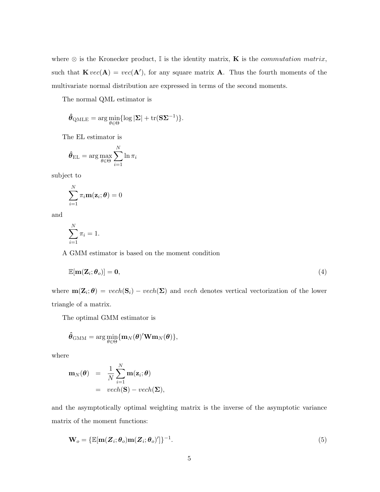where  $\otimes$  is the Kronecker product, I is the identity matrix, **K** is the *commutation matrix*, such that  $\mathbf{K} vec(\mathbf{A}) = vec(\mathbf{A}'),$  for any square matrix  $\mathbf{A}$ . Thus the fourth moments of the multivariate normal distribution are expressed in terms of the second moments.

The normal QML estimator is

<span id="page-4-1"></span>
$$
\hat{\boldsymbol{\theta}}_{\text{QMLE}} = \arg\min_{\boldsymbol{\theta} \in \Theta} \{ \log |\boldsymbol{\Sigma}| + \mathrm{tr}(\mathbf{S} \boldsymbol{\Sigma}^{-1}) \}.
$$

The EL estimator is

$$
\hat{\boldsymbol{\theta}}_{\text{EL}} = \arg \max_{\boldsymbol{\theta} \in \Theta} \sum_{i=1}^{N} \ln \pi_i
$$

subject to

$$
\sum_{i=1}^{N} \pi_i \mathbf{m}(\mathbf{z}_i; \boldsymbol{\theta}) = 0
$$

and

$$
\sum_{i=1}^{N} \pi_i = 1.
$$

A GMM estimator is based on the moment condition

$$
\mathbb{E}[\mathbf{m}(\mathbf{Z}_i; \boldsymbol{\theta}_o)] = \mathbf{0},\tag{4}
$$

where  $m(\mathbf{Z}_i; \theta) = vech(\mathbf{S}_i) - vech(\mathbf{\Sigma})$  and vech denotes vertical vectorization of the lower triangle of a matrix.

The optimal GMM estimator is

<span id="page-4-0"></span>
$$
\hat{\boldsymbol{\theta}}_{\text{GMM}} = \arg \min_{\boldsymbol{\theta} \in \Theta} \{ \mathbf{m}_{N}(\boldsymbol{\theta})^{\prime} \mathbf{W} \mathbf{m}_{N}(\boldsymbol{\theta}) \},
$$

where

$$
\mathbf{m}_N(\boldsymbol{\theta}) = \frac{1}{N} \sum_{i=1}^N \mathbf{m}(\mathbf{z}_i; \boldsymbol{\theta})
$$
  
=  $vech(\mathbf{S}) - vech(\mathbf{\Sigma}),$ 

and the asymptotically optimal weighting matrix is the inverse of the asymptotic variance matrix of the moment functions:

$$
\mathbf{W}_o = \{\mathbb{E}[\mathbf{m}(\mathbf{Z}_i; \boldsymbol{\theta}_o)\mathbf{m}(\mathbf{Z}_i; \boldsymbol{\theta}_o)']\}^{-1}.
$$
\n(5)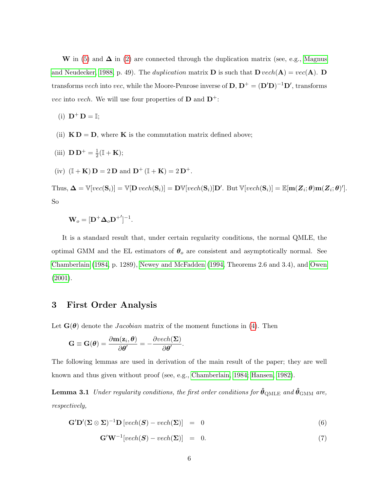W in [\(5\)](#page-4-0) and  $\Delta$  in [\(2\)](#page-3-1) are connected through the duplication matrix (see, e.g., [Magnus](#page-15-7) [and Neudecker, 1988,](#page-15-7) p. 49). The *duplication* matrix **D** is such that  $\mathbf{D}$  vech( $\mathbf{A}$ ) = vec( $\mathbf{A}$ ). **D** transforms vech into vec, while the Moore-Penrose inverse of  $D, D^+ = (D'D)^{-1}D'$ , transforms *vec* into vech. We will use four properties of **D** and  $D^+$ :

(i)  $\mathbf{D}^+ \mathbf{D} = \mathbb{I};$ 

- (ii)  $\mathbf{K} \mathbf{D} = \mathbf{D}$ , where **K** is the commutation matrix defined above;
- (iii)  ${\bf D} {\bf D}^{+} = \frac{1}{2}$  $\frac{1}{2}(\mathbb{I} + \mathbf{K});$
- (iv)  $(\mathbb{I} + \mathbf{K}) \mathbf{D} = 2 \mathbf{D}$  and  $\mathbf{D}^+ (\mathbb{I} + \mathbf{K}) = 2 \mathbf{D}^+$ .

Thus,  $\mathbf{\Delta} = \mathbb{V}[vec(\mathbf{S}_i)] = \mathbb{V}[\mathbf{D}\,vech(\mathbf{S}_i)] = \mathbf{D}\mathbb{V}[vech(\mathbf{S}_i)]\mathbf{D}'.$  But  $\mathbb{V}[vech(\mathbf{S}_i)] = \mathbb{E}[\mathbf{m}(\mathbf{Z}_i;\boldsymbol{\theta})\mathbf{m}(\mathbf{Z}_i;\boldsymbol{\theta})'].$ So

$$
\mathbf{W}_o = [\mathbf{D}^+ \mathbf{\Delta}_o \mathbf{D}^+]^{-1}.
$$

It is a standard result that, under certain regularity conditions, the normal QMLE, the optimal GMM and the EL estimators of  $\theta_o$  are consistent and asymptotically normal. See [Chamberlain](#page-15-1) [\(1984,](#page-15-1) p. 1289), [Newey and McFadden](#page-15-8) [\(1994,](#page-15-8) Theorems 2.6 and 3.4), and [Owen](#page-16-1) [\(2001\)](#page-16-1).

# <span id="page-5-0"></span>3 First Order Analysis

Let  $\mathbf{G}(\boldsymbol{\theta})$  denote the *Jacobian* matrix of the moment functions in [\(4\)](#page-4-1). Then

<span id="page-5-1"></span>
$$
\mathbf{G} \equiv \mathbf{G}(\boldsymbol{\theta}) = \frac{\partial \mathbf{m}(\mathbf{z}_i, \boldsymbol{\theta})}{\partial \boldsymbol{\theta}'} = -\frac{\partial vech(\boldsymbol{\Sigma})}{\partial \boldsymbol{\theta}'}.
$$

The following lemmas are used in derivation of the main result of the paper; they are well known and thus given without proof (see, e.g., [Chamberlain, 1984;](#page-15-1) [Hansen, 1982\)](#page-15-9).

**Lemma 3.1** Under regularity conditions, the first order conditions for  $\hat{\theta}_{\text{QMLE}}$  and  $\hat{\theta}_{\text{GMM}}$  are, respectively,

$$
\mathbf{G}'\mathbf{D}'(\Sigma \otimes \Sigma)^{-1}\mathbf{D}[vech(\mathbf{S}) - vech(\Sigma)] = 0 \qquad (6)
$$

$$
\mathbf{G}'\mathbf{W}^{-1}[vech(\mathbf{S}) - vech(\mathbf{\Sigma})] = 0. \tag{7}
$$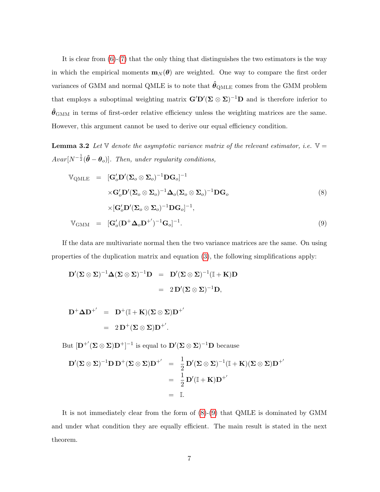It is clear from  $(6)-(7)$  $(6)-(7)$  $(6)-(7)$  that the only thing that distinguishes the two estimators is the way in which the empirical moments  $m_N(\theta)$  are weighted. One way to compare the first order variances of GMM and normal QMLE is to note that  $\hat{\theta}_{\text{QMLE}}$  comes from the GMM problem that employs a suboptimal weighting matrix  $\mathbf{G}'\mathbf{D}'(\Sigma \otimes \Sigma)^{-1}\mathbf{D}$  and is therefore inferior to  $\hat{\theta}_{\rm GMM}$  in terms of first-order relative efficiency unless the weighting matrices are the same. However, this argument cannot be used to derive our equal efficiency condition.

**Lemma 3.2** Let  $\mathbb{V}$  denote the asymptotic variance matrix of the relevant estimator, i.e.  $\mathbb{V} =$  $A var[N^{-\frac{1}{2}}(\hat{\boldsymbol{\theta}} - \boldsymbol{\theta}_o)]$ . Then, under regularity conditions,

<span id="page-6-0"></span>
$$
\mathbb{V}_{\text{QMLE}} = [\mathbf{G}'_o \mathbf{D}'(\mathbf{\Sigma}_o \otimes \mathbf{\Sigma}_o)^{-1} \mathbf{D} \mathbf{G}_o]^{-1} \times \mathbf{G}'_o \mathbf{D}'(\mathbf{\Sigma}_o \otimes \mathbf{\Sigma}_o)^{-1} \mathbf{\Delta}_o (\mathbf{\Sigma}_o \otimes \mathbf{\Sigma}_o)^{-1} \mathbf{D} \mathbf{G}_o \times [\mathbf{G}'_o \mathbf{D}'(\mathbf{\Sigma}_o \otimes \mathbf{\Sigma}_o)^{-1} \mathbf{D} \mathbf{G}_o]^{-1}, \n\mathbb{V}_{\text{GMM}} = [\mathbf{G}'_o (\mathbf{D}^+ \mathbf{\Delta}_o \mathbf{D}^+')^{-1} \mathbf{G}_o]^{-1}.
$$
\n(9)

If the data are multivariate normal then the two variance matrices are the same. On using properties of the duplication matrix and equation [\(3\)](#page-3-2), the following simplifications apply:

$$
\mathbf{D}'(\mathbf{\Sigma} \otimes \mathbf{\Sigma})^{-1} \mathbf{\Delta} (\mathbf{\Sigma} \otimes \mathbf{\Sigma})^{-1} \mathbf{D} = \mathbf{D}'(\mathbf{\Sigma} \otimes \mathbf{\Sigma})^{-1} (\mathbb{I} + \mathbf{K}) \mathbf{D}
$$

$$
= 2 \mathbf{D}'(\mathbf{\Sigma} \otimes \mathbf{\Sigma})^{-1} \mathbf{D},
$$

$$
\mathbf{D}^+ \mathbf{\Delta} \mathbf{D}^{+'} = \mathbf{D}^+ (\mathbb{I} + \mathbf{K})(\mathbf{\Sigma} \otimes \mathbf{\Sigma}) \mathbf{D}^{+'} \n= 2 \mathbf{D}^+ (\mathbf{\Sigma} \otimes \mathbf{\Sigma}) \mathbf{D}^{+'}.
$$

But  $[\mathbf{D}^{+'}(\Sigma \otimes \Sigma)\mathbf{D}^{+}]^{-1}$  is equal to  $\mathbf{D}'(\Sigma \otimes \Sigma)^{-1}\mathbf{D}$  because

$$
\mathbf{D}'(\Sigma \otimes \Sigma)^{-1} \mathbf{D} \mathbf{D}^{+}(\Sigma \otimes \Sigma) \mathbf{D}^{+'} = \frac{1}{2} \mathbf{D}'(\Sigma \otimes \Sigma)^{-1}(\mathbb{I} + \mathbf{K})(\Sigma \otimes \Sigma) \mathbf{D}^{+'}
$$
  
=  $\frac{1}{2} \mathbf{D}'(\mathbb{I} + \mathbf{K}) \mathbf{D}^{+'}$   
=  $\mathbb{I}.$ 

<span id="page-6-1"></span>It is not immediately clear from the form of [\(8\)](#page-6-0)-[\(9\)](#page-6-0) that QMLE is dominated by GMM and under what condition they are equally efficient. The main result is stated in the next theorem.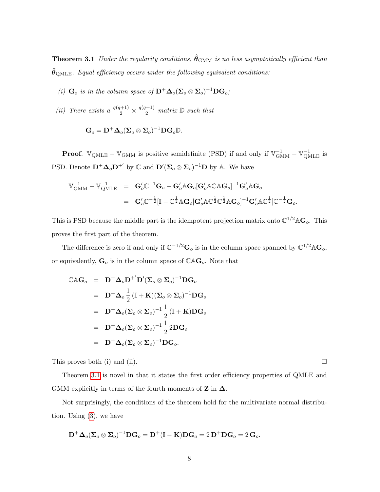**Theorem 3.1** Under the regularity conditions,  $\hat{\theta}_{\text{GMM}}$  is no less asymptotically efficient than  $\hat{\theta}_{\text{OMLE}}$ . Equal efficiency occurs under the following equivalent conditions:

- (i)  $\mathbf{G}_o$  is in the column space of  $\mathbf{D}^+ \mathbf{\Delta}_o(\mathbf{\Sigma}_o \otimes \mathbf{\Sigma}_o)^{-1} \mathbf{D} \mathbf{G}_o$ ;
- (ii) There exists a  $\frac{q(q+1)}{2} \times \frac{q(q+1)}{2}$  matrix  $\mathbb D$  such that

$$
\mathbf{G}_o = \mathbf{D}^+ \boldsymbol{\Delta}_o (\boldsymbol{\Sigma}_o \otimes \boldsymbol{\Sigma}_o)^{-1} \mathbf{D} \mathbf{G}_o \mathbb{D}.
$$

**Proof.**  $\mathbb{V}_{\text{QMLE}} - \mathbb{V}_{\text{GMM}}$  is positive semidefinite (PSD) if and only if  $\mathbb{V}_{\text{GMM}}^{-1} - \mathbb{V}_{\text{OMLE}}^{-1}$  is PSD. Denote  $\mathbf{D}^+ \mathbf{\Delta}_o \mathbf{D}^{+'}$  by  $\mathbb C$  and  $\mathbf{D}'(\mathbf{\Sigma}_o \otimes \mathbf{\Sigma}_o)^{-1} \mathbf{D}$  by A. We have

$$
\begin{array}{lll}\mathbb{V}_{\text{GMM}}^{-1}-\mathbb{V}_{\text{QMLE}}^{-1}&=&\mathbf{G}_o^{\prime}\mathbb{C}^{-1}\mathbf{G}_o-\mathbf{G}_o^{\prime}\mathbb{A}\mathbf{G}_o[\mathbf{G}_o^{\prime}\mathbb{A}\mathbb{C}\mathbb{A}\mathbf{G}_o]^{-1}\mathbf{G}_o^{\prime}\mathbb{A}\mathbf{G}_o\\&&\\ &=&\mathbf{G}_o^{\prime}\mathbb{C}^{-\frac{1}{2}}[\mathbb{I}-\mathbb{C}^{\frac{1}{2}}\mathbb{A}\mathbf{G}_o[\mathbf{G}_o^{\prime}\mathbb{A}\mathbb{C}^{\frac{1}{2}}\mathbb{C}^{\frac{1}{2}}\mathbb{A}\mathbf{G}_o]^{-1}\mathbf{G}_o^{\prime}\mathbb{A}\mathbb{C}^{\frac{1}{2}}]\mathbb{C}^{-\frac{1}{2}}\mathbf{G}_o.\end{array}
$$

This is PSD because the middle part is the idempotent projection matrix onto  $\mathbb{C}^{1/2} \mathbb{A} \mathbf{G}_o$ . This proves the first part of the theorem.

The difference is zero if and only if  $\mathbb{C}^{-1/2}$  $\mathbf{G}_o$  is in the column space spanned by  $\mathbb{C}^{1/2}$  $\mathbb{A}$  $\mathbf{G}_o$ , or equivalently,  $\mathbf{G}_o$  is in the column space of  $\mathbb{CAG}_o$ . Note that

$$
\begin{array}{rcl}\n\mathbb{C}\mathbb{A}\mathbf{G}_{o} & = & \mathbf{D}^{+}\mathbf{\Delta}_{o}\mathbf{D}^{+'}\mathbf{D}'(\mathbf{\Sigma}_{o}\otimes\mathbf{\Sigma}_{o})^{-1}\mathbf{D}\mathbf{G}_{o} \\
& = & \mathbf{D}^{+}\mathbf{\Delta}_{o}\frac{1}{2}(\mathbb{I}+\mathbf{K})(\mathbf{\Sigma}_{o}\otimes\mathbf{\Sigma}_{o})^{-1}\mathbf{D}\mathbf{G}_{o} \\
& = & \mathbf{D}^{+}\mathbf{\Delta}_{o}(\mathbf{\Sigma}_{o}\otimes\mathbf{\Sigma}_{o})^{-1}\frac{1}{2}(\mathbb{I}+\mathbf{K})\mathbf{D}\mathbf{G}_{o} \\
& = & \mathbf{D}^{+}\mathbf{\Delta}_{o}(\mathbf{\Sigma}_{o}\otimes\mathbf{\Sigma}_{o})^{-1}\frac{1}{2}\,2\mathbf{D}\mathbf{G}_{o} \\
& = & \mathbf{D}^{+}\mathbf{\Delta}_{o}(\mathbf{\Sigma}_{o}\otimes\mathbf{\Sigma}_{o})^{-1}\mathbf{D}\mathbf{G}_{o}.\n\end{array}
$$

This proves both (i) and (ii).  $\Box$ 

Theorem [3.1](#page-6-1) is novel in that it states the first order efficiency properties of QMLE and GMM explicitly in terms of the fourth moments of  $\mathbf Z$  in  $\boldsymbol{\Delta}$ .

Not surprisingly, the conditions of the theorem hold for the multivariate normal distribution. Using [\(3\)](#page-3-2), we have

$$
\mathbf{D}^+\boldsymbol{\Delta}_o(\boldsymbol{\Sigma}_o\otimes\boldsymbol{\Sigma}_o)^{-1}\mathbf{D}\mathbf{G}_o=\mathbf{D}^+(\mathbb{I}-\mathbf{K})\mathbf{D}\mathbf{G}_o=2\,\mathbf{D}^+\mathbf{D}\mathbf{G}_o=2\,\mathbf{G}_o.
$$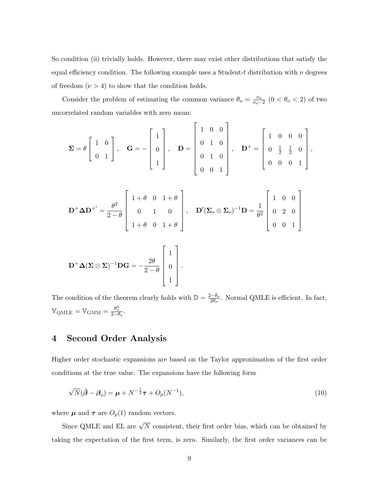So condition (ii) trivially holds. However, there may exist other distributions that satisfy the equal efficiency condition. The following example uses a Student-t distribution with  $\nu$  degrees of freedom  $(\nu > 4)$  to show that the condition holds.

Consider the problem of estimating the common variance  $\theta_o = \frac{\nu_o}{\nu_o - \nu_o}$  $\frac{\nu_o}{\nu_o-2}$  (0 <  $\theta_o$  < 2) of two uncorrelated random variables with zero mean:

$$
\Sigma = \theta \begin{bmatrix} 1 & 0 \\ 0 & 1 \end{bmatrix}, \quad \mathbf{G} = -\begin{bmatrix} 1 \\ 0 \\ 1 \end{bmatrix}, \quad \mathbf{D} = \begin{bmatrix} 1 & 0 & 0 \\ 0 & 1 & 0 \\ 0 & 1 & 0 \\ 0 & 0 & 1 \end{bmatrix}, \quad \mathbf{D}^{+} = \begin{bmatrix} 1 & 0 & 0 & 0 \\ 0 & \frac{1}{2} & \frac{1}{2} & 0 \\ 0 & 0 & 0 & 1 \end{bmatrix},
$$

$$
\mathbf{D}^{+}\mathbf{\Delta}\mathbf{D}^{+'} = \frac{\theta^{2}}{2-\theta} \begin{bmatrix} 1+\theta & 0 & 1+\theta \\ 0 & 1 & 0 \\ 1+\theta & 0 & 1+\theta \end{bmatrix}, \quad \mathbf{D}'(\mathbf{\Sigma}_{o} \otimes \mathbf{\Sigma}_{o})^{-1}\mathbf{D} = \frac{1}{\theta^{2}} \begin{bmatrix} 1 & 0 & 0 \\ 0 & 2 & 0 \\ 0 & 0 & 1 \end{bmatrix}
$$

$$
\mathbf{D}^{+}\mathbf{\Delta}(\mathbf{\Sigma} \otimes \mathbf{\Sigma})^{-1}\mathbf{D}\mathbf{G} = -\frac{2\theta}{2-\theta} \begin{bmatrix} 1 \\ 0 \\ 0 \\ 1 \end{bmatrix}.
$$

The condition of the theorem clearly holds with  $\mathbb{D} = \frac{2-\theta_o}{2\theta}$  $\frac{2-\theta_o}{2\theta_o}$ . Normal QMLE is efficient. In fact,  $\mathbb{V}_{\text{QMLE}} = \mathbb{V}_{\text{GMM}} = \frac{\theta_o^3}{2 - \theta_o}.$ 

<span id="page-8-1"></span>1

# <span id="page-8-0"></span>4 Second Order Analysis

Higher order stochastic expansions are based on the Taylor approximation of the first order conditions at the true value. The expansions have the following form

$$
\sqrt{N}(\hat{\boldsymbol{\beta}} - \boldsymbol{\beta}_o) = \boldsymbol{\mu} + N^{-\frac{1}{2}} \boldsymbol{\tau} + O_p(N^{-1}),
$$
\n(10)

where  $\pmb{\mu}$  and  $\pmb{\tau}$  are  $O_p(1)$  random vectors.

Since QMLE and EL are  $\sqrt{N}$  consistent, their first order bias, which can be obtained by taking the expectation of the first term, is zero. Similarly, the first order variances can be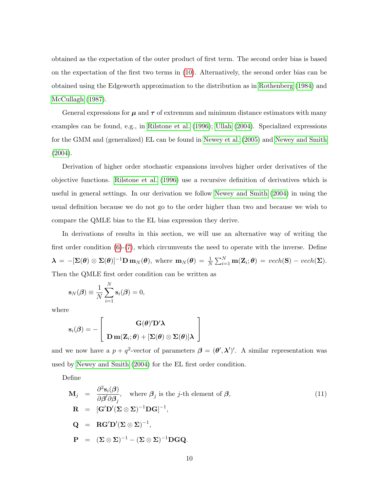obtained as the expectation of the outer product of first term. The second order bias is based on the expectation of the first two terms in [\(10\)](#page-8-1). Alternatively, the second order bias can be obtained using the Edgeworth approximation to the distribution as in [Rothenberg](#page-16-2) [\(1984\)](#page-16-2) and [McCullagh](#page-15-10) [\(1987\)](#page-15-10).

General expressions for  $\mu$  and  $\tau$  of extremum and minimum distance estimators with many examples can be found, e.g., in [Rilstone et al.](#page-16-3) [\(1996\)](#page-16-3); [Ullah](#page-16-4) [\(2004\)](#page-16-4). Specialized expressions for the GMM and (generalized) EL can be found in [Newey et al.](#page-15-11) [\(2005\)](#page-15-11) and [Newey and Smith](#page-15-12) [\(2004\)](#page-15-12).

Derivation of higher order stochastic expansions involves higher order derivatives of the objective functions. [Rilstone et al.](#page-16-3) [\(1996\)](#page-16-3) use a recursive definition of derivatives which is useful in general settings. In our derivation we follow [Newey and Smith](#page-15-12) [\(2004\)](#page-15-12) in using the usual definition because we do not go to the order higher than two and because we wish to compare the QMLE bias to the EL bias expression they derive.

In derivations of results in this section, we will use an alternative way of writing the first order condition  $(6)-(7)$  $(6)-(7)$  $(6)-(7)$ , which circumvents the need to operate with the inverse. Define  $\boldsymbol{\lambda} = -[\boldsymbol{\Sigma}(\boldsymbol{\theta}) \otimes \boldsymbol{\Sigma}(\boldsymbol{\theta})]^{-1} \mathbf{D} \mathbf{m}_N(\boldsymbol{\theta}), \text{ where } \mathbf{m}_N(\boldsymbol{\theta}) = \frac{1}{N} \sum_{i=1}^N \mathbf{m}(\mathbf{Z}_i; \boldsymbol{\theta}) = \text{vech}(\mathbf{S}) - \text{vech}(\boldsymbol{\Sigma}).$ Then the QMLE first order condition can be written as

$$
\mathbf{s}_N(\boldsymbol{\beta}) \equiv \frac{1}{N} \sum_{i=1}^N \mathbf{s}_i(\boldsymbol{\beta}) = 0,
$$

where

$$
\mathbf{s}_i(\boldsymbol{\beta}) = -\left[\begin{array}{c} \mathbf{G}(\boldsymbol{\theta})'\mathbf{D}'\boldsymbol{\lambda} \\ \mathbf{D}\,\mathbf{m}(\mathbf{Z}_i;\boldsymbol{\theta}) + [\boldsymbol{\Sigma}(\boldsymbol{\theta})\otimes\boldsymbol{\Sigma}(\boldsymbol{\theta})]\boldsymbol{\lambda} \end{array}\right]
$$

and we now have a  $p + q^2$ -vector of parameters  $\boldsymbol{\beta} = (\boldsymbol{\theta}', \boldsymbol{\lambda}')'$ . A similar representation was used by [Newey and Smith](#page-15-12) [\(2004\)](#page-15-12) for the EL first order condition.

Define

$$
\mathbf{M}_{j} = \frac{\partial^{2} \mathbf{s}_{i}(\boldsymbol{\beta})}{\partial \boldsymbol{\beta}^{\prime} \partial \boldsymbol{\beta}_{j}}, \text{ where } \boldsymbol{\beta}_{j} \text{ is the } j\text{-th element of } \boldsymbol{\beta},
$$
\n
$$
\mathbf{R} = [\mathbf{G}^{\prime} \mathbf{D}^{\prime} (\boldsymbol{\Sigma} \otimes \boldsymbol{\Sigma})^{-1} \mathbf{D} \mathbf{G}]^{-1},
$$
\n
$$
\mathbf{Q} = \mathbf{R} \mathbf{G}^{\prime} \mathbf{D}^{\prime} (\boldsymbol{\Sigma} \otimes \boldsymbol{\Sigma})^{-1},
$$
\n
$$
\mathbf{P} = (\boldsymbol{\Sigma} \otimes \boldsymbol{\Sigma})^{-1} - (\boldsymbol{\Sigma} \otimes \boldsymbol{\Sigma})^{-1} \mathbf{D} \mathbf{G} \mathbf{Q}.
$$
\n(11)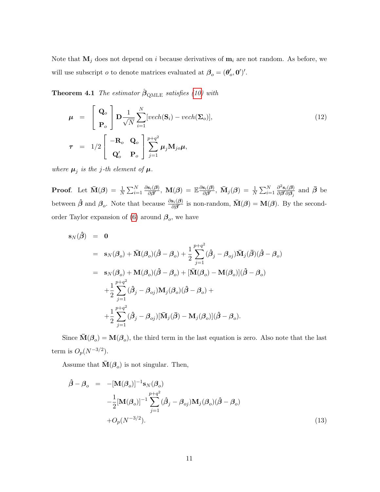Note that  $M_j$  does not depend on i because derivatives of  $m_i$  are not random. As before, we will use subscript  $o$  to denote matrices evaluated at  $\beta_o = (\theta_o', \mathbf{0}')'.$ 

**Theorem 4.1** The estimator  $\hat{\boldsymbol{\beta}}_{\text{OMLE}}$  satisfies [\(10\)](#page-8-1) with

<span id="page-10-0"></span>
$$
\boldsymbol{\mu} = \begin{bmatrix} \mathbf{Q}_o \\ \mathbf{P}_o \end{bmatrix} \mathbf{D} \frac{1}{\sqrt{N}} \sum_{i=1}^N [vech(\mathbf{S}_i) - vech(\mathbf{\Sigma}_o)],
$$
\n
$$
\boldsymbol{\tau} = 1/2 \begin{bmatrix} -\mathbf{R}_o & \mathbf{Q}_o \\ \mathbf{Q}_o' & \mathbf{P}_o \end{bmatrix} \sum_{j=1}^{p+q^2} \boldsymbol{\mu}_j \mathbf{M}_{jo} \boldsymbol{\mu},
$$
\n(12)

where  $\mu_j$  is the j-th element of  $\mu$ .

**Proof**. Let  $\bar{\mathbf{M}}(\boldsymbol{\beta}) = \frac{1}{N} \sum_{i=1}^{N} \frac{\partial \mathbf{s}_i(\boldsymbol{\beta})}{\partial \boldsymbol{\beta}'}$  $\frac{\mathbf{s}_i(\boldsymbol{\beta})}{\partial \boldsymbol{\beta}^\prime}, \ \mathbf{M}(\boldsymbol{\beta}) \ = \ \mathbb{E} \frac{\partial \mathbf{s}_i(\boldsymbol{\beta})}{\partial \boldsymbol{\beta}^\prime}$  $\frac{\mathbf{s}_{i}(\boldsymbol{\beta})}{\partial\boldsymbol{\beta}^{\prime}},\ \bar{\mathbf{M}}_{j}(\boldsymbol{\beta})\ =\ \frac{1}{N}\sum_{i=1}^{N}% \alpha_{i}\left( \mathbf{s}_{i}^{\dag}\right) \sum_{j=1}^{N}\alpha_{j}^{\dag}\left( \mathbf{s}_{j}^{\dag}\right) \label{eq:1.14}%$  $\partial^2 \mathbf{s}_i(\boldsymbol{\beta})$  $\frac{\partial^2 \mathbf{s}_i(\boldsymbol{\beta})}{\partial \boldsymbol{\beta}^{\prime} \partial \boldsymbol{\beta}_j}$  and  $\bar{\boldsymbol{\beta}}$  be between  $\hat{\beta}$  and  $\beta_o$ . Note that because  $\frac{\partial s_i(\beta)}{\partial \beta'}$  is non-random,  $\bar{M}(\beta) = M(\beta)$ . By the second-order Taylor expansion of [\(6\)](#page-5-1) around  $\beta_o$ , we have

$$
\mathbf{s}_{N}(\hat{\boldsymbol{\beta}}) = \mathbf{0}
$$
  
\n
$$
= \mathbf{s}_{N}(\boldsymbol{\beta}_{o}) + \bar{\mathbf{M}}(\boldsymbol{\beta}_{o})(\hat{\boldsymbol{\beta}} - \boldsymbol{\beta}_{o}) + \frac{1}{2} \sum_{j=1}^{p+q^2} (\hat{\boldsymbol{\beta}}_{j} - \boldsymbol{\beta}_{oj}) \bar{\mathbf{M}}_{j}(\bar{\boldsymbol{\beta}})(\hat{\boldsymbol{\beta}} - \boldsymbol{\beta}_{o})
$$
  
\n
$$
= \mathbf{s}_{N}(\boldsymbol{\beta}_{o}) + \mathbf{M}(\boldsymbol{\beta}_{o})(\hat{\boldsymbol{\beta}} - \boldsymbol{\beta}_{o}) + [\bar{\mathbf{M}}(\boldsymbol{\beta}_{o}) - \mathbf{M}(\boldsymbol{\beta}_{o})](\hat{\boldsymbol{\beta}} - \boldsymbol{\beta}_{o})
$$
  
\n
$$
+ \frac{1}{2} \sum_{j=1}^{p+q^2} (\hat{\boldsymbol{\beta}}_{j} - \boldsymbol{\beta}_{oj}) \mathbf{M}_{j}(\boldsymbol{\beta}_{o})(\hat{\boldsymbol{\beta}} - \boldsymbol{\beta}_{o}) +
$$
  
\n
$$
+ \frac{1}{2} \sum_{j=1}^{p+q^2} (\hat{\boldsymbol{\beta}}_{j} - \boldsymbol{\beta}_{oj}) [\bar{\mathbf{M}}_{j}(\bar{\boldsymbol{\beta}}) - \mathbf{M}_{j}(\boldsymbol{\beta}_{o})](\hat{\boldsymbol{\beta}} - \boldsymbol{\beta}_{o}).
$$

Since  $\bar{M}(\beta_o) = M(\beta_o)$ , the third term in the last equation is zero. Also note that the last term is  $O_p(N^{-3/2})$ .

Assume that  $\bar{\mathbf{M}}(\boldsymbol{\beta}_o)$  is not singular. Then,

$$
\hat{\boldsymbol{\beta}} - \boldsymbol{\beta}_o = -[\mathbf{M}(\boldsymbol{\beta}_o)]^{-1} \mathbf{s}_N(\boldsymbol{\beta}_o)
$$
  
\n
$$
-\frac{1}{2}[\mathbf{M}(\boldsymbol{\beta}_o)]^{-1} \sum_{j=1}^{p+q^2} (\hat{\boldsymbol{\beta}}_j - \boldsymbol{\beta}_{oj}) \mathbf{M}_j(\boldsymbol{\beta}_o) (\hat{\boldsymbol{\beta}} - \boldsymbol{\beta}_o)
$$
  
\n
$$
+ O_p(N^{-3/2}).
$$
\n(13)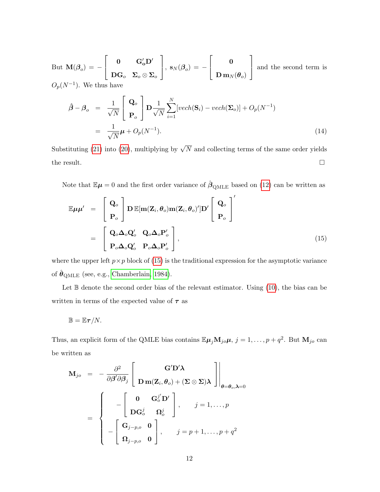But  $\mathbf{M}(\boldsymbol{\beta}_o) = \sqrt{ }$  $\overline{1}$  $\mathbf{0}$   $\mathbf{G}_\mathrm{o}'\mathbf{D}'$  $\text{DG}_o \ \ \ \text{ $\Sigma_o\otimes\Sigma_o$}$ 1  $\Big\vert \, , \; {\bf s}_N(\boldsymbol{\beta}_o) \, = \, - \,$  $\sqrt{ }$  $\overline{1}$ 0  $\mathbf{D}\,\mathbf{m}_N(\boldsymbol{\theta}_o)$ 1 and the second term is  $O_p(N^{-1})$ . We thus have

$$
\hat{\boldsymbol{\beta}} - \boldsymbol{\beta}_o = \frac{1}{\sqrt{N}} \begin{bmatrix} \mathbf{Q}_o \\ \mathbf{P}_o \end{bmatrix} \mathbf{D} \frac{1}{\sqrt{N}} \sum_{i=1}^N [vech(\mathbf{S}_i) - vech(\mathbf{\Sigma}_o)] + O_p(N^{-1})
$$

$$
= \frac{1}{\sqrt{N}} \boldsymbol{\mu} + O_p(N^{-1}). \tag{14}
$$

Substituting [\(21\)](#page-17-0) into [\(20\)](#page-16-5), multiplying by  $\sqrt{N}$  and collecting terms of the same order yields the result.  $\Box$ 

Note that  $\mathbb{E}\mu = 0$  and the first order variance of  $\hat{\beta}_{\text{OMLE}}$  based on [\(12\)](#page-10-0) can be written as

<span id="page-11-0"></span>
$$
\mathbb{E}\mu\mu' = \begin{bmatrix} \mathbf{Q}_o \\ \mathbf{P}_o \end{bmatrix} \mathbf{D} \mathbb{E}[\mathbf{m}(\mathbf{Z}_i, \theta_o) \mathbf{m}(\mathbf{Z}_i, \theta_o)'] \mathbf{D}' \begin{bmatrix} \mathbf{Q}_o \\ \mathbf{P}_o \end{bmatrix}'
$$

$$
= \begin{bmatrix} \mathbf{Q}_o \boldsymbol{\Delta}_o \mathbf{Q}_o' & \mathbf{Q}_o \boldsymbol{\Delta}_o \mathbf{P}_o' \\ \mathbf{P}_o \boldsymbol{\Delta}_o \mathbf{Q}_o' & \mathbf{P}_o \boldsymbol{\Delta}_o \mathbf{P}_o' \end{bmatrix},
$$
(15)

where the upper left  $p \times p$  block of [\(15\)](#page-11-0) is the traditional expression for the asymptotic variance of  $\hat{\boldsymbol{\theta}}_{\text{QMLE}}$  (see, e.g., [Chamberlain, 1984\)](#page-15-1).

Let  $\mathbb B$  denote the second order bias of the relevant estimator. Using  $(10)$ , the bias can be written in terms of the expected value of  $\tau$  as

<span id="page-11-1"></span>
$$
\mathbb{B}=\mathbb{E}\boldsymbol{\tau}/N.
$$

Thus, an explicit form of the QMLE bias contains  $\mathbb{E}\mu_j \mathbf{M}_{j\circ}\mu$ ,  $j = 1, \ldots, p + q^2$ . But  $\mathbf{M}_{j\circ}$  can be written as

$$
\mathbf{M}_{jo} = -\frac{\partial^2}{\partial \beta^i \partial \beta_j} \begin{bmatrix} \mathbf{G}^i \mathbf{D}^i \mathbf{\lambda} \\ \mathbf{D} \mathbf{m}(\mathbf{Z}_i, \theta_o) + (\mathbf{\Sigma} \otimes \mathbf{\Sigma}) \mathbf{\lambda} \end{bmatrix} \bigg|_{\theta = \theta_o, \mathbf{\lambda} = 0}
$$

$$
= \begin{cases} -\begin{bmatrix} \mathbf{0} & \mathbf{G}_o^{j'} \mathbf{D}^i \\ \mathbf{D} \mathbf{G}_o^j & \mathbf{\Omega}_o^j \end{bmatrix}, & j = 1, \dots, p \\ -\begin{bmatrix} \mathbf{G}_{j-p,o} & \mathbf{0} \\ \mathbf{\Omega}_{j-p,o} & \mathbf{0} \end{bmatrix}, & j = p+1, \dots, p+q^2 \end{cases}
$$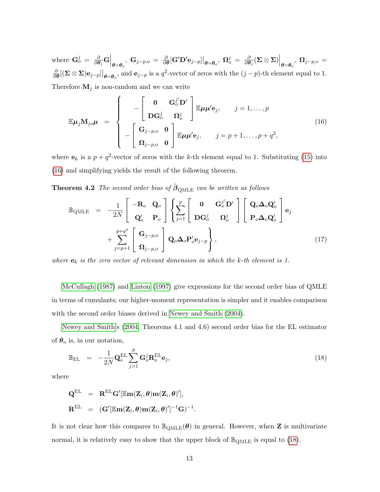where  $\mathbf{G}_o^j = \frac{\partial}{\partial \boldsymbol{\theta}}$  $\left.\frac{\partial}{\partial \boldsymbol{\theta}_j} \mathbf{G} \right|_{\boldsymbol{\theta} = \boldsymbol{\theta}_o}, \; \mathbf{G}_{j-p,o} \; = \; \frac{\partial}{\partial \boldsymbol{\theta}_o}$  $\frac{\partial}{\partial \boldsymbol{\theta}}[\mathbf{G}' \mathbf{D}' \mathbf{e}_{j-p}]\big|_{\boldsymbol{\theta}=\boldsymbol{\theta}_o}, \; \mathbf{\Omega}_o^j \; = \; \frac{\partial}{\partial \boldsymbol{\theta}}$  $\left.\frac{\partial}{\partial \boldsymbol{\theta}_j} (\boldsymbol{\Sigma}\otimes \boldsymbol{\Sigma})\right|_{\boldsymbol{\theta}=\boldsymbol{\theta}_o},\; \boldsymbol{\Omega}_{j-p,o}\,=\,$ ∂  $\frac{\partial}{\partial \theta} [(\mathbf{\Sigma} \otimes \mathbf{\Sigma}) \mathbf{e}_{j-p}]|_{\boldsymbol{\theta} = \boldsymbol{\theta}_o}$ , and  $\mathbf{e}_{j-p}$  is a  $q^2$ -vector of zeros with the  $(j-p)$ -th element equal to 1. Therefore  $M_j$  is non-random and we can write

$$
\mathbb{E}\mu_j \mathbf{M}_{jo}\mu = \begin{cases}\n-\begin{bmatrix}\n\mathbf{0} & \mathbf{G}_o^{j'}\mathbf{D}' \\
\mathbf{D}\mathbf{G}_o^{j} & \mathbf{\Omega}_o^{j}\n\end{bmatrix}\n\mathbb{E}\mu\mu' \mathbf{e}_j, \quad j = 1, ..., p \\
-\begin{bmatrix}\n\mathbf{G}_{j-p,o} & \mathbf{0} \\
\mathbf{\Omega}_{j-p,o} & \mathbf{0}\n\end{bmatrix}\n\mathbb{E}\mu\mu' \mathbf{e}_j, \quad j = p+1, ..., p+q^2,\n\end{cases}
$$
\n(16)

where  $\mathbf{e}_k$  is a  $p + q^2$ -vector of zeros with the k-th element equal to 1. Substituting [\(15\)](#page-11-0) into [\(16\)](#page-11-1) and simplifying yields the result of the following theorem.

**Theorem 4.2** The second order bias of  $\hat{\boldsymbol{\beta}}_{\text{OMLE}}$  can be written as follows

<span id="page-12-1"></span>
$$
\mathbb{B}_{\text{QMLE}} = -\frac{1}{2N} \begin{bmatrix} -\mathbf{R}_{o} & \mathbf{Q}_{o} \\ \mathbf{Q}_{o}' & \mathbf{P}_{o} \end{bmatrix} \left\{ \sum_{j=1}^{p} \begin{bmatrix} \mathbf{0} & \mathbf{G}_{o}^{j'} \mathbf{D}' \\ \mathbf{D}\mathbf{G}_{o}^{j} & \mathbf{\Omega}_{o}^{j} \end{bmatrix} \begin{bmatrix} \mathbf{Q}_{o} \boldsymbol{\Delta}_{o} \mathbf{Q}_{o}' \\ \mathbf{P}_{o} \boldsymbol{\Delta}_{o} \mathbf{Q}_{o}' \end{bmatrix} \mathbf{e}_{j} + \sum_{j=p+1}^{p+q^{2}} \begin{bmatrix} \mathbf{G}_{j-p,o} \\ \mathbf{\Omega}_{j-p,o} \end{bmatrix} \mathbf{Q}_{o} \boldsymbol{\Delta}_{o} \mathbf{P}_{o}' \mathbf{e}_{j-p} \right\},
$$
\n(17)

where  $\mathbf{e}_k$  is the zero vector of relevant dimension in which the k-th element is 1.

[McCullagh](#page-15-10) [\(1987\)](#page-15-10) and [Linton](#page-15-13) [\(1997\)](#page-15-13) give expressions for the second order bias of QMLE in terms of cumulants; our higher-moment representation is simpler and it enables comparison with the second order biases derived in [Newey and Smith](#page-15-12) [\(2004\)](#page-15-12).

[Newey and Smith'](#page-15-12)s [\(2004,](#page-15-12) Theorems 4.1 and 4.6) second order bias for the EL estimator of  $\theta_o$  is, in our notation,

<span id="page-12-0"></span>
$$
\mathbb{B}_{\text{EL}} = -\frac{1}{2N} \mathbf{Q}_o^{\text{EL}} \sum_{j=1}^p \mathbf{G}_o^j \mathbf{R}_o^{\text{EL}} \mathbf{e}_j,
$$
\n(18)

where

<span id="page-12-2"></span>
$$
\begin{array}{rcl} \mathbf{Q}^{\mathrm{EL}} & = & \mathbf{R}^{\mathrm{EL}}\mathbf{G}'[\mathbb{E}\mathbf{m}(\mathbf{Z}_i,\boldsymbol{\theta})\mathbf{m}(\mathbf{Z}_i,\boldsymbol{\theta})'],\\ \mathbf{R}^{\mathrm{EL}} & = & (\mathbf{G}'[\mathbb{E}\mathbf{m}(\mathbf{Z}_i,\boldsymbol{\theta})\mathbf{m}(\mathbf{Z}_i,\boldsymbol{\theta})']^{-1}\mathbf{G})^{-1} \end{array}
$$

It is not clear how this compares to  $\mathbb{B}_{\text{QMLE}}(\theta)$  in general. However, when **Z** is multivariate normal, it is relatively easy to show that the upper block of  $\mathbb{B}_{\text{QMLE}}$  is equal to [\(18\)](#page-12-0).

.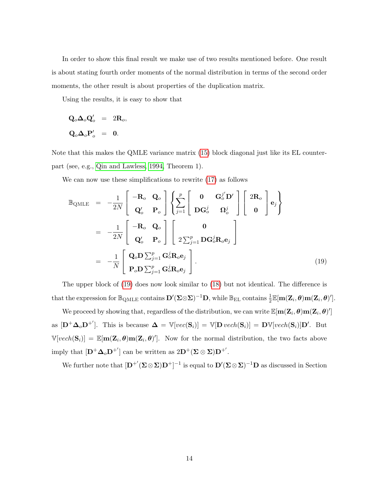In order to show this final result we make use of two results mentioned before. One result is about stating fourth order moments of the normal distribution in terms of the second order moments, the other result is about properties of the duplication matrix.

Using the results, it is easy to show that

$$
\mathbf{Q}_o \Delta_o \mathbf{Q}_o' = 2 \mathbf{R}_o,
$$
  

$$
\mathbf{Q}_o \Delta_o \mathbf{P}_o' = 0.
$$

Note that this makes the QMLE variance matrix [\(15\)](#page-11-0) block diagonal just like its EL counterpart (see, e.g., [Qin and Lawless, 1994,](#page-16-6) Theorem 1).

We can now use these simplifications to rewrite [\(17\)](#page-12-1) as follows

$$
\mathbb{B}_{\text{QMLE}} = -\frac{1}{2N} \begin{bmatrix} -\mathbf{R}_{o} & \mathbf{Q}_{o} \\ \mathbf{Q}_{o}' & \mathbf{P}_{o} \end{bmatrix} \left\{ \sum_{j=1}^{p} \begin{bmatrix} 0 & \mathbf{G}_{o}^{j'} \mathbf{D}' \\ \mathbf{D}\mathbf{G}_{o}^{j} & \mathbf{\Omega}_{o}^{j} \end{bmatrix} \begin{bmatrix} 2\mathbf{R}_{o} \\ \mathbf{0} \end{bmatrix} \mathbf{e}_{j} \right\}
$$

$$
= -\frac{1}{2N} \begin{bmatrix} -\mathbf{R}_{o} & \mathbf{Q}_{o} \\ \mathbf{Q}_{o}' & \mathbf{P}_{o} \end{bmatrix} \begin{bmatrix} 0 \\ 2\sum_{j=1}^{p} \mathbf{D}\mathbf{G}_{o}^{j} \mathbf{R}_{o} \mathbf{e}_{j} \end{bmatrix}
$$

$$
= -\frac{1}{N} \begin{bmatrix} \mathbf{Q}_{o} \mathbf{D} \sum_{j=1}^{p} \mathbf{G}_{o}^{j} \mathbf{R}_{o} \mathbf{e}_{j} \\ \mathbf{P}_{o} \mathbf{D} \sum_{j=1}^{p} \mathbf{G}_{o}^{j} \mathbf{R}_{o} \mathbf{e}_{j} \end{bmatrix} .
$$
(19)

The upper block of [\(19\)](#page-12-2) does now look similar to [\(18\)](#page-12-0) but not identical. The difference is that the expression for  $\mathbb{B}_{\text{QMLE}}$  contains  $\mathbf{D}'(\mathbf{\Sigma}\otimes \mathbf{\Sigma})^{-1}\mathbf{D}$ , while  $\mathbb{B}_{\text{EL}}$  contains  $\frac{1}{2}\mathbb{E}[\mathbf{m}(\mathbf{Z}_i,\boldsymbol{\theta})\mathbf{m}(\mathbf{Z}_i,\boldsymbol{\theta})']$ .

We proceed by showing that, regardless of the distribution, we can write  $\mathbb{E}[\mathbf{m}(\mathbf{Z}_i, \boldsymbol{\theta})\mathbf{m}(\mathbf{Z}_i, \boldsymbol{\theta})']$ as  $[\mathbf{D}^+\mathbf{\Delta}_o\mathbf{D}^+]$ . This is because  $\mathbf{\Delta} = \mathbb{V}[vec(\mathbf{S}_i)] = \mathbb{V}[\mathbf{D}\text{ }vech(\mathbf{S}_i)] = \mathbf{D}\mathbb{V}[vech(\mathbf{S}_i)]\mathbf{D}'$ . But  $\mathbb{V}[vech(\mathbf{S}_i)] = \mathbb{E}[\mathbf{m}(\mathbf{Z}_i, \boldsymbol{\theta})\mathbf{m}(\mathbf{Z}_i, \boldsymbol{\theta})']$ . Now for the normal distribution, the two facts above imply that  $[\mathbf{D}^+\mathbf{\Delta}_o\mathbf{D}^{+'}]$  can be written as  $2\mathbf{D}^+(\Sigma\otimes \Sigma)\mathbf{D}^{+'}$ .

We further note that  $[\mathbf{D}^{+'}(\Sigma\otimes\Sigma)\mathbf{D}^{+}]^{-1}$  is equal to  $\mathbf{D}'(\Sigma\otimes\Sigma)^{-1}\mathbf{D}$  as discussed in Section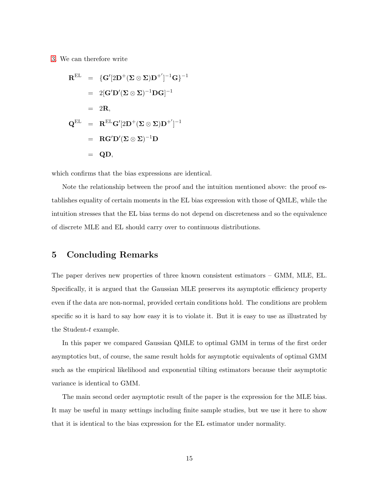[3.](#page-5-0) We can therefore write

$$
\begin{array}{rcl} \mathbf{R}^{\mathrm{EL}} & = & \{ \mathbf{G}'[2\mathbf{D}^{+}(\mathbf{\Sigma}\otimes\mathbf{\Sigma})\mathbf{D}^{+}']^{-1}\mathbf{G} \}^{-1} \\ \\ & = & 2[\mathbf{G}'\mathbf{D}'(\mathbf{\Sigma}\otimes\mathbf{\Sigma})^{-1}\mathbf{D}\mathbf{G}]^{-1} \\ \\ & = & 2\mathbf{R}, \end{array}
$$
\n
$$
\mathbf{Q}^{\mathrm{EL}} & = & \mathbf{R}^{\mathrm{EL}}\mathbf{G}'[2\mathbf{D}^{+}(\mathbf{\Sigma}\otimes\mathbf{\Sigma})\mathbf{D}^{+}']^{-1} \\ \\ & = & \mathbf{R}\mathbf{G}'\mathbf{D}'(\mathbf{\Sigma}\otimes\mathbf{\Sigma})^{-1}\mathbf{D} \\ \\ & = & \mathbf{Q}\mathbf{D}, \end{array}
$$

which confirms that the bias expressions are identical.

Note the relationship between the proof and the intuition mentioned above: the proof establishes equality of certain moments in the EL bias expression with those of QMLE, while the intuition stresses that the EL bias terms do not depend on discreteness and so the equivalence of discrete MLE and EL should carry over to continuous distributions.

### 5 Concluding Remarks

The paper derives new properties of three known consistent estimators – GMM, MLE, EL. Specifically, it is argued that the Gaussian MLE preserves its asymptotic efficiency property even if the data are non-normal, provided certain conditions hold. The conditions are problem specific so it is hard to say how easy it is to violate it. But it is easy to use as illustrated by the Student-t example.

In this paper we compared Gaussian QMLE to optimal GMM in terms of the first order asymptotics but, of course, the same result holds for asymptotic equivalents of optimal GMM such as the empirical likelihood and exponential tilting estimators because their asymptotic variance is identical to GMM.

The main second order asymptotic result of the paper is the expression for the MLE bias. It may be useful in many settings including finite sample studies, but we use it here to show that it is identical to the bias expression for the EL estimator under normality.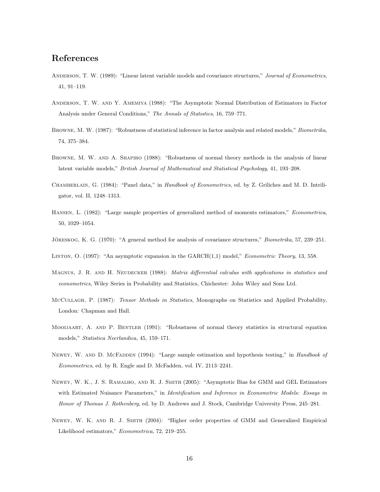# References

- <span id="page-15-5"></span>ANDERSON, T. W. (1989): "Linear latent variable models and covariance structures," Journal of Econometrics, 41, 91–119.
- <span id="page-15-3"></span>Anderson, T. W. and Y. Amemiya (1988): "The Asymptotic Normal Distribution of Estimators in Factor Analysis under General Conditions," The Annals of Statistics, 16, 759–771.
- <span id="page-15-2"></span>Browne, M. W. (1987): "Robustness of statistical inference in factor analysis and related models," Biometrika, 74, 375–384.
- <span id="page-15-4"></span>BROWNE, M. W. AND A. SHAPIRO (1988): "Robustness of normal theory methods in the analysis of linear latent variable models," British Journal of Mathematical and Statistical Psychology, 41, 193–208.
- <span id="page-15-1"></span>CHAMBERLAIN, G. (1984): "Panel data," in Handbook of Econometrics, ed. by Z. Griliches and M. D. Intriligator, vol. II, 1248–1313.
- <span id="page-15-9"></span>Hansen, L. (1982): "Large sample properties of generalized method of moments estimators," Econometrica, 50, 1029–1054.
- <span id="page-15-0"></span>JÖRESKOG, K. G. (1970): "A general method for analysis of covariance structures," Biometrika, 57, 239–251.
- <span id="page-15-13"></span>LINTON, O. (1997): "An asymptotic expansion in the GARCH(1,1) model," *Econometric Theory*, 13, 558.
- <span id="page-15-7"></span>MAGNUS, J. R. AND H. NEUDECKER (1988): Matrix differential calculus with applications in statistics and econometrics, Wiley Series in Probability and Statistics, Chichester: John Wiley and Sons Ltd.
- <span id="page-15-10"></span>McCullagh, P. (1987): Tensor Methods in Statistics, Monographs on Statistics and Applied Probability, London: Chapman and Hall.
- <span id="page-15-6"></span>Mooijaart, A. and P. Bentler (1991): "Robustness of normal theory statistics in structural equation models," Statistica Neerlandica, 45, 159–171.
- <span id="page-15-8"></span>NEWEY, W. AND D. MCFADDEN (1994): "Large sample estimation and hypothesis testing," in Handbook of Econometrics, ed. by R. Engle and D. McFadden, vol. IV, 2113–2241.
- <span id="page-15-11"></span>Newey, W. K., J. S. Ramalho, and R. J. Smith (2005): "Asymptotic Bias for GMM and GEL Estimators with Estimated Nuisance Parameters," in Identification and Inference in Econometric Models: Essays in Honor of Thomas J. Rothenberg, ed. by D. Andrews and J. Stock, Cambridge University Press, 245–281.
- <span id="page-15-12"></span>Newey, W. K. and R. J. Smith (2004): "Higher order properties of GMM and Generalized Empirical Likelihood estimators," Econometrica, 72, 219–255.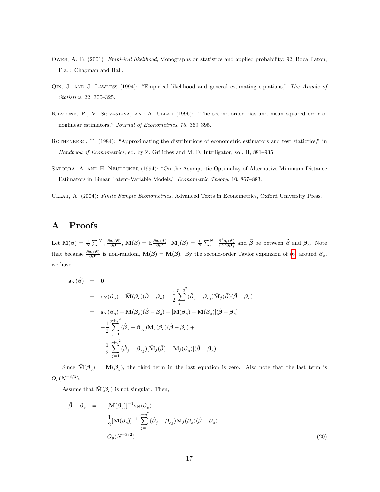- <span id="page-16-1"></span>Owen, A. B. (2001): Empirical likelihood, Monographs on statistics and applied probability; 92, Boca Raton, Fla. : Chapman and Hall.
- <span id="page-16-6"></span>Qin, J. and J. Lawless (1994): "Empirical likelihood and general estimating equations," The Annals of Statistics, 22, 300–325.
- <span id="page-16-3"></span>Rilstone, P., V. Srivastava, and A. Ullah (1996): "The second-order bias and mean squared error of nonlinear estimators," Journal of Econometrics, 75, 369–395.
- <span id="page-16-2"></span>ROTHENBERG, T. (1984): "Approximating the distributions of econometric estimators and test statictics," in Handbook of Econometrics, ed. by Z. Griliches and M. D. Intriligator, vol. II, 881–935.
- <span id="page-16-0"></span>SATORRA, A. AND H. NEUDECKER (1994): "On the Asymptotic Optimality of Alternative Minimum-Distance Estimators in Linear Latent-Variable Models," Econometric Theory, 10, 867–883.
- <span id="page-16-4"></span>Ullah, A. (2004): Finite Sample Econometrics, Advanced Texts in Econometrics, Oxford University Press.

# A Proofs

Let  $\bar{\mathbf{M}}(\boldsymbol{\beta}) = \frac{1}{N} \sum_{i=1}^{N} \frac{\partial \mathbf{s}_i(\boldsymbol{\beta})}{\partial \boldsymbol{\beta}'}$ ,  $\mathbf{M}(\boldsymbol{\beta}) = \mathbb{E} \frac{\partial \mathbf{s}_i(\boldsymbol{\beta})}{\partial \boldsymbol{\beta}'}$ ,  $\bar{\mathbf{M}}_j(\boldsymbol{\beta}) = \frac{1}{N} \sum_{i=1}^{N} \frac{\partial^2 \mathbf{s}_i(\boldsymbol{\beta})}{\partial \boldsymbol{\beta}' \partial \boldsymbol{\beta}_j}$  and  $\bar{\boldsymbol{\beta}}$  be between  $\hat{\boldsymbol$ that because  $\frac{\partial s_i(\beta)}{\partial \beta'}$  is non-random,  $\bar{M}(\beta) = M(\beta)$ . By the second-order Taylor expansion of [\(6\)](#page-5-1) around  $\beta_o$ , we have

<span id="page-16-5"></span>
$$
\begin{array}{rcl}\ns_N(\hat{\beta}) & = & 0 \\
& = & s_N(\beta_o) + \bar{M}(\beta_o)(\hat{\beta} - \beta_o) + \frac{1}{2} \sum_{j=1}^{p+q^2} (\hat{\beta}_j - \beta_{oj}) \bar{M}_j(\bar{\beta})(\hat{\beta} - \beta_o) \\
& = & s_N(\beta_o) + M(\beta_o)(\hat{\beta} - \beta_o) + [\bar{M}(\beta_o) - M(\beta_o)](\hat{\beta} - \beta_o) \\
& & + \frac{1}{2} \sum_{j=1}^{p+q^2} (\hat{\beta}_j - \beta_{oj}) M_j(\beta_o)(\hat{\beta} - \beta_o) + \\
& & + \frac{1}{2} \sum_{j=1}^{p+q^2} (\hat{\beta}_j - \beta_{oj}) [\bar{M}_j(\bar{\beta}) - M_j(\beta_o)](\hat{\beta} - \beta_o).\n\end{array}
$$

Since  $\bar{M}(\beta_o) = M(\beta_o)$ , the third term in the last equation is zero. Also note that the last term is  $O_p(N^{-3/2})$ .

Assume that  $\bar{M}(\mathcal{B}_{o})$  is not singular. Then,

$$
\hat{\boldsymbol{\beta}} - \boldsymbol{\beta}_o = -[\mathbf{M}(\boldsymbol{\beta}_o)]^{-1} \mathbf{s}_N(\boldsymbol{\beta}_o)
$$
  
\n
$$
-\frac{1}{2}[\mathbf{M}(\boldsymbol{\beta}_o)]^{-1} \sum_{j=1}^{p+q^2} (\hat{\boldsymbol{\beta}}_j - \boldsymbol{\beta}_{oj}) \mathbf{M}_j(\boldsymbol{\beta}_o) (\hat{\boldsymbol{\beta}} - \boldsymbol{\beta}_o)
$$
  
\n
$$
+ O_p(N^{-3/2}).
$$
\n(20)